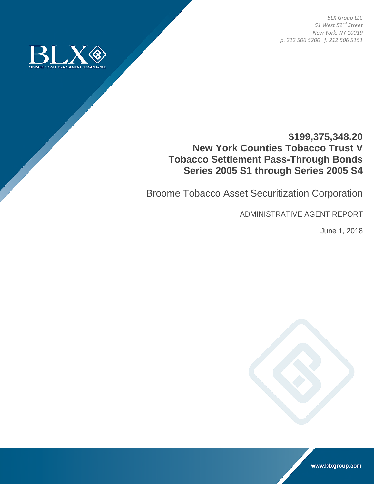*BLX Group LLC 51 West 52nd Street New York, NY 10019 p. 212 506 5200 f. 212 506 5151* 



# **\$199,375,348.20 New York Counties Tobacco Trust V Tobacco Settlement Pass-Through Bonds Series 2005 S1 through Series 2005 S4**

Broome Tobacco Asset Securitization Corporation

ADMINISTRATIVE AGENT REPORT

June 1, 2018



www.blxgroup.com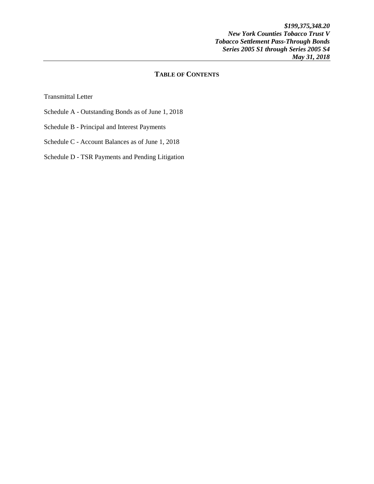## **TABLE OF CONTENTS**

Transmittal Letter

- Schedule A Outstanding Bonds as of June 1, 2018
- Schedule B Principal and Interest Payments
- Schedule C Account Balances as of June 1, 2018

Schedule D - TSR Payments and Pending Litigation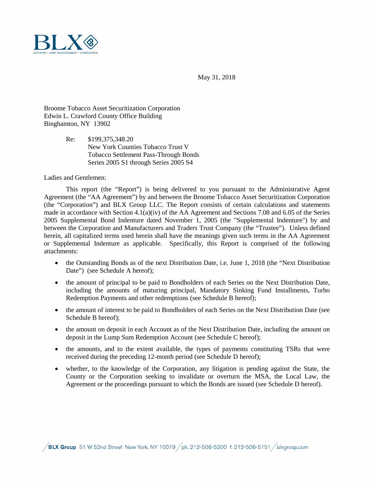

May 31, 2018

Broome Tobacco Asset Securitization Corporation Edwin L. Crawford County Office Building Binghamton, NY 13902

> Re: \$199,375,348.20 New York Counties Tobacco Trust V Tobacco Settlement Pass-Through Bonds Series 2005 S1 through Series 2005 S4

Ladies and Gentlemen:

This report (the "Report") is being delivered to you pursuant to the Administrative Agent Agreement (the "AA Agreement") by and between the Broome Tobacco Asset Securitization Corporation (the "Corporation") and BLX Group LLC. The Report consists of certain calculations and statements made in accordance with Section 4.1(a)(iv) of the AA Agreement and Sections 7.08 and 6.05 of the Series 2005 Supplemental Bond Indenture dated November 1, 2005 (the "Supplemental Indenture") by and between the Corporation and Manufacturers and Traders Trust Company (the "Trustee"). Unless defined herein, all capitalized terms used herein shall have the meanings given such terms in the AA Agreement or Supplemental Indenture as applicable. Specifically, this Report is comprised of the following attachments:

- the Outstanding Bonds as of the next Distribution Date, i.e. June 1, 2018 (the "Next Distribution Date") (see Schedule A hereof);
- the amount of principal to be paid to Bondholders of each Series on the Next Distribution Date, including the amounts of maturing principal, Mandatory Sinking Fund Installments, Turbo Redemption Payments and other redemptions (see Schedule B hereof);
- the amount of interest to be paid to Bondholders of each Series on the Next Distribution Date (see Schedule B hereof);
- the amount on deposit in each Account as of the Next Distribution Date, including the amount on deposit in the Lump Sum Redemption Account (see Schedule C hereof);
- the amounts, and to the extent available, the types of payments constituting TSRs that were received during the preceding 12-month period (see Schedule D hereof);
- whether, to the knowledge of the Corporation, any litigation is pending against the State, the County or the Corporation seeking to invalidate or overturn the MSA, the Local Law, the Agreement or the proceedings pursuant to which the Bonds are issued (see Schedule D hereof).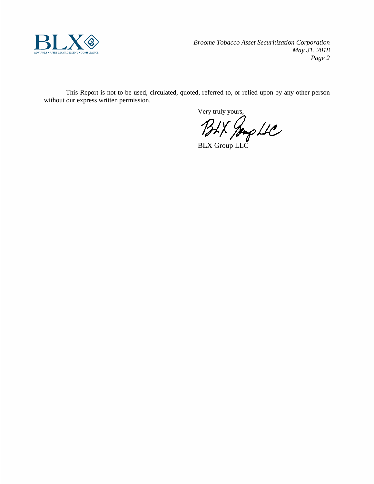

*Broome Tobacco Asset Securitization Corporation May 31, 2018 Page 2*

This Report is not to be used, circulated, quoted, referred to, or relied upon by any other person without our express written permission.

Very truly yours,

BLX Group LLC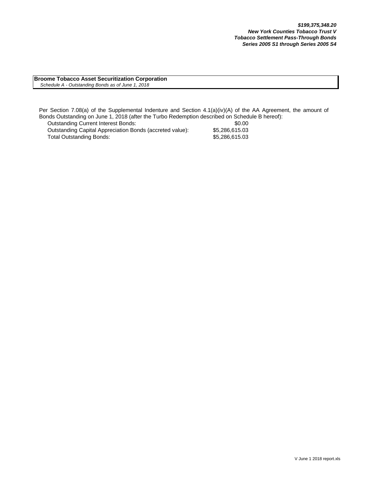**Broome Tobacco Asset Securitization Corporation**  *Schedule A - Outstanding Bonds as of June 1, 2018*

Per Section 7.08(a) of the Supplemental Indenture and Section 4.1(a)(iv)(A) of the AA Agreement, the amount of Bonds Outstanding on June 1, 2018 (after the Turbo Redemption described on Schedule B hereof):

Outstanding Current Interest Bonds: \$0.00 Outstanding Capital Appreciation Bonds (accreted value): \$5,286,615.03<br>Total Outstanding Bonds: \$5,286,615.03 Total Outstanding Bonds: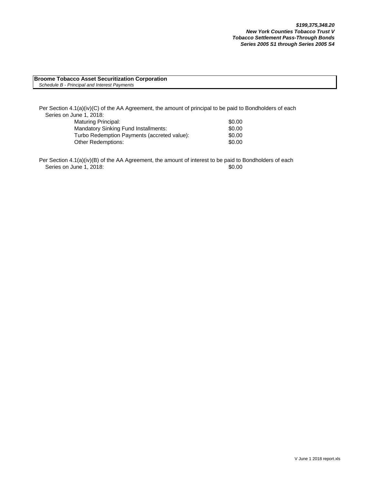#### **Broome Tobacco Asset Securitization Corporation** *Schedule B - Principal and Interest Payments*

Per Section 4.1(a)(iv)(C) of the AA Agreement, the amount of principal to be paid to Bondholders of each Series on June 1, 2018:

| Maturing Principal:                         | \$0.00 |
|---------------------------------------------|--------|
| Mandatory Sinking Fund Installments:        | \$0.00 |
| Turbo Redemption Payments (accreted value): | \$0.00 |
| Other Redemptions:                          | \$0.00 |

Per Section 4.1(a)(iv)(B) of the AA Agreement, the amount of interest to be paid to Bondholders of each Series on June 1, 2018: \$0.00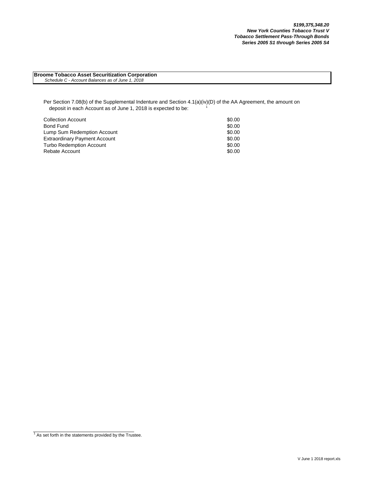**Broome Tobacco Asset Securitization Corporation**  *Schedule C - Account Balances as of June 1, 2018*

Per Section 7.08(b) of the Supplemental Indenture and Section 4.1(a)(iv)(D) of the AA Agreement, the amount on deposit in each Account as of June 1, 2018 is expected to be:

| <b>Collection Account</b>            | \$0.00 |
|--------------------------------------|--------|
| Bond Fund                            | \$0.00 |
| Lump Sum Redemption Account          | \$0.00 |
| <b>Extraordinary Payment Account</b> | \$0.00 |
| <b>Turbo Redemption Account</b>      | \$0.00 |
| Rebate Account                       | \$0.00 |

 $1$  As set forth in the statements provided by the Trustee.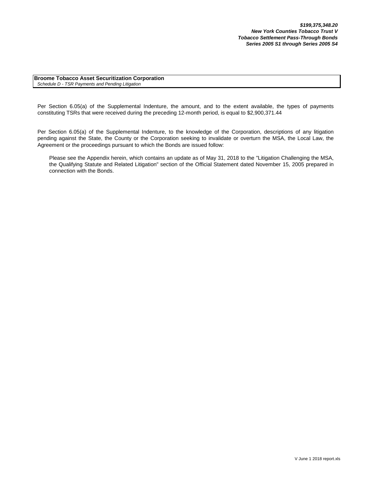**Broome Tobacco Asset Securitization Corporation** *Schedule D - TSR Payments and Pending Litigation*

Per Section 6.05(a) of the Supplemental Indenture, the amount, and to the extent available, the types of payments constituting TSRs that were received during the preceding 12-month period, is equal to \$2,900,371.44

Per Section 6.05(a) of the Supplemental Indenture, to the knowledge of the Corporation, descriptions of any litigation pending against the State, the County or the Corporation seeking to invalidate or overturn the MSA, the Local Law, the Agreement or the proceedings pursuant to which the Bonds are issued follow:

Please see the Appendix herein, which contains an update as of May 31, 2018 to the "Litigation Challenging the MSA, the Qualifying Statute and Related Litigation" section of the Official Statement dated November 15, 2005 prepared in connection with the Bonds.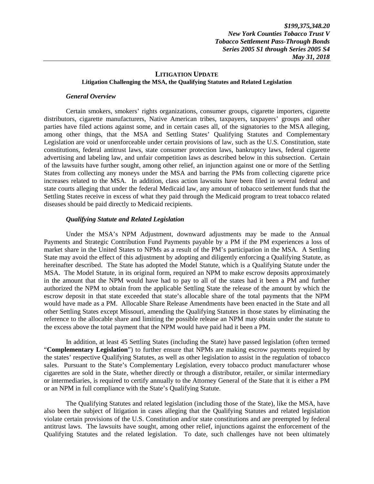#### **LITIGATION UPDATE Litigation Challenging the MSA, the Qualifying Statutes and Related Legislation**

#### *General Overview*

Certain smokers, smokers' rights organizations, consumer groups, cigarette importers, cigarette distributors, cigarette manufacturers, Native American tribes, taxpayers, taxpayers' groups and other parties have filed actions against some, and in certain cases all, of the signatories to the MSA alleging, among other things, that the MSA and Settling States' Qualifying Statutes and Complementary Legislation are void or unenforceable under certain provisions of law, such as the U.S. Constitution, state constitutions, federal antitrust laws, state consumer protection laws, bankruptcy laws, federal cigarette advertising and labeling law, and unfair competition laws as described below in this subsection. Certain of the lawsuits have further sought, among other relief, an injunction against one or more of the Settling States from collecting any moneys under the MSA and barring the PMs from collecting cigarette price increases related to the MSA. In addition, class action lawsuits have been filed in several federal and state courts alleging that under the federal Medicaid law, any amount of tobacco settlement funds that the Settling States receive in excess of what they paid through the Medicaid program to treat tobacco related diseases should be paid directly to Medicaid recipients.

### *Qualifying Statute and Related Legislation*

Under the MSA's NPM Adjustment, downward adjustments may be made to the Annual Payments and Strategic Contribution Fund Payments payable by a PM if the PM experiences a loss of market share in the United States to NPMs as a result of the PM's participation in the MSA. A Settling State may avoid the effect of this adjustment by adopting and diligently enforcing a Qualifying Statute, as hereinafter described. The State has adopted the Model Statute, which is a Qualifying Statute under the MSA. The Model Statute, in its original form, required an NPM to make escrow deposits approximately in the amount that the NPM would have had to pay to all of the states had it been a PM and further authorized the NPM to obtain from the applicable Settling State the release of the amount by which the escrow deposit in that state exceeded that state's allocable share of the total payments that the NPM would have made as a PM. Allocable Share Release Amendments have been enacted in the State and all other Settling States except Missouri, amending the Qualifying Statutes in those states by eliminating the reference to the allocable share and limiting the possible release an NPM may obtain under the statute to the excess above the total payment that the NPM would have paid had it been a PM.

In addition, at least 45 Settling States (including the State) have passed legislation (often termed "**Complementary Legislation**") to further ensure that NPMs are making escrow payments required by the states' respective Qualifying Statutes, as well as other legislation to assist in the regulation of tobacco sales. Pursuant to the State's Complementary Legislation, every tobacco product manufacturer whose cigarettes are sold in the State, whether directly or through a distributor, retailer, or similar intermediary or intermediaries, is required to certify annually to the Attorney General of the State that it is either a PM or an NPM in full compliance with the State's Qualifying Statute.

The Qualifying Statutes and related legislation (including those of the State), like the MSA, have also been the subject of litigation in cases alleging that the Qualifying Statutes and related legislation violate certain provisions of the U.S. Constitution and/or state constitutions and are preempted by federal antitrust laws. The lawsuits have sought, among other relief, injunctions against the enforcement of the Qualifying Statutes and the related legislation. To date, such challenges have not been ultimately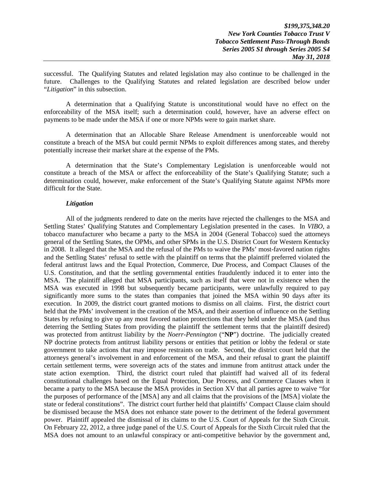successful. The Qualifying Statutes and related legislation may also continue to be challenged in the future. Challenges to the Qualifying Statutes and related legislation are described below under "*Litigation*" in this subsection.

A determination that a Qualifying Statute is unconstitutional would have no effect on the enforceability of the MSA itself; such a determination could, however, have an adverse effect on payments to be made under the MSA if one or more NPMs were to gain market share.

A determination that an Allocable Share Release Amendment is unenforceable would not constitute a breach of the MSA but could permit NPMs to exploit differences among states, and thereby potentially increase their market share at the expense of the PMs.

A determination that the State's Complementary Legislation is unenforceable would not constitute a breach of the MSA or affect the enforceability of the State's Qualifying Statute; such a determination could, however, make enforcement of the State's Qualifying Statute against NPMs more difficult for the State.

#### *Litigation*

All of the judgments rendered to date on the merits have rejected the challenges to the MSA and Settling States' Qualifying Statutes and Complementary Legislation presented in the cases. In *VIBO*, a tobacco manufacturer who became a party to the MSA in 2004 (General Tobacco) sued the attorneys general of the Settling States, the OPMs, and other SPMs in the U.S. District Court for Western Kentucky in 2008. It alleged that the MSA and the refusal of the PMs to waive the PMs' most-favored nation rights and the Settling States' refusal to settle with the plaintiff on terms that the plaintiff preferred violated the federal antitrust laws and the Equal Protection, Commerce, Due Process, and Compact Clauses of the U.S. Constitution, and that the settling governmental entities fraudulently induced it to enter into the MSA. The plaintiff alleged that MSA participants, such as itself that were not in existence when the MSA was executed in 1998 but subsequently became participants, were unlawfully required to pay significantly more sums to the states than companies that joined the MSA within 90 days after its execution. In 2009, the district court granted motions to dismiss on all claims. First, the district court held that the PMs' involvement in the creation of the MSA, and their assertion of influence on the Settling States by refusing to give up any most favored nation protections that they held under the MSA (and thus deterring the Settling States from providing the plaintiff the settlement terms that the plaintiff desired) was protected from antitrust liability by the *Noerr-Pennington* ("**NP**") doctrine. The judicially created NP doctrine protects from antitrust liability persons or entities that petition or lobby the federal or state government to take actions that may impose restraints on trade. Second, the district court held that the attorneys general's involvement in and enforcement of the MSA, and their refusal to grant the plaintiff certain settlement terms, were sovereign acts of the states and immune from antitrust attack under the state action exemption. Third, the district court ruled that plaintiff had waived all of its federal constitutional challenges based on the Equal Protection, Due Process, and Commerce Clauses when it became a party to the MSA because the MSA provides in Section XV that all parties agree to waive "for the purposes of performance of the [MSA] any and all claims that the provisions of the [MSA] violate the state or federal constitutions". The district court further held that plaintiffs' Compact Clause claim should be dismissed because the MSA does not enhance state power to the detriment of the federal government power. Plaintiff appealed the dismissal of its claims to the U.S. Court of Appeals for the Sixth Circuit. On February 22, 2012, a three judge panel of the U.S. Court of Appeals for the Sixth Circuit ruled that the MSA does not amount to an unlawful conspiracy or anti-competitive behavior by the government and,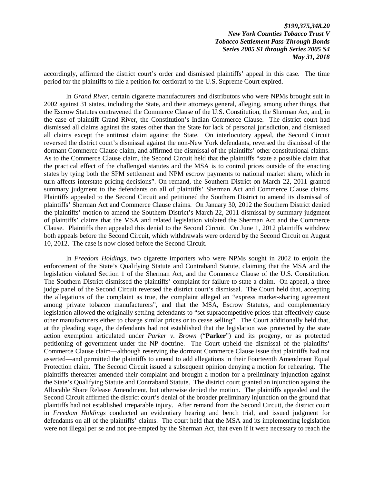accordingly, affirmed the district court's order and dismissed plaintiffs' appeal in this case. The time period for the plaintiffs to file a petition for certiorari to the U.S. Supreme Court expired.

In *Grand River*, certain cigarette manufacturers and distributors who were NPMs brought suit in 2002 against 31 states, including the State, and their attorneys general, alleging, among other things, that the Escrow Statutes contravened the Commerce Clause of the U.S. Constitution, the Sherman Act, and, in the case of plaintiff Grand River, the Constitution's Indian Commerce Clause. The district court had dismissed all claims against the states other than the State for lack of personal jurisdiction, and dismissed all claims except the antitrust claim against the State. On interlocutory appeal, the Second Circuit reversed the district court's dismissal against the non-New York defendants, reversed the dismissal of the dormant Commerce Clause claim, and affirmed the dismissal of the plaintiffs' other constitutional claims. As to the Commerce Clause claim, the Second Circuit held that the plaintiffs "state a possible claim that the practical effect of the challenged statutes and the MSA is to control prices outside of the enacting states by tying both the SPM settlement and NPM escrow payments to national market share, which in turn affects interstate pricing decisions". On remand, the Southern District on March 22, 2011 granted summary judgment to the defendants on all of plaintiffs' Sherman Act and Commerce Clause claims. Plaintiffs appealed to the Second Circuit and petitioned the Southern District to amend its dismissal of plaintiffs' Sherman Act and Commerce Clause claims. On January 30, 2012 the Southern District denied the plaintiffs' motion to amend the Southern District's March 22, 2011 dismissal by summary judgment of plaintiffs' claims that the MSA and related legislation violated the Sherman Act and the Commerce Clause. Plaintiffs then appealed this denial to the Second Circuit. On June 1, 2012 plaintiffs withdrew both appeals before the Second Circuit, which withdrawals were ordered by the Second Circuit on August 10, 2012. The case is now closed before the Second Circuit.

In *Freedom Holdings*, two cigarette importers who were NPMs sought in 2002 to enjoin the enforcement of the State's Qualifying Statute and Contraband Statute, claiming that the MSA and the legislation violated Section 1 of the Sherman Act, and the Commerce Clause of the U.S. Constitution. The Southern District dismissed the plaintiffs' complaint for failure to state a claim. On appeal, a three judge panel of the Second Circuit reversed the district court's dismissal. The Court held that, accepting the allegations of the complaint as true, the complaint alleged an "express market-sharing agreement among private tobacco manufacturers", and that the MSA, Escrow Statutes, and complementary legislation allowed the originally settling defendants to "set supracompetitive prices that effectively cause other manufacturers either to charge similar prices or to cease selling". The Court additionally held that, at the pleading stage, the defendants had not established that the legislation was protected by the state action exemption articulated under *Parker v. Brown* ("**Parker**") and its progeny, or as protected petitioning of government under the NP doctrine. The Court upheld the dismissal of the plaintiffs' Commerce Clause claim—although reserving the dormant Commerce Clause issue that plaintiffs had not asserted—and permitted the plaintiffs to amend to add allegations in their Fourteenth Amendment Equal Protection claim. The Second Circuit issued a subsequent opinion denying a motion for rehearing. The plaintiffs thereafter amended their complaint and brought a motion for a preliminary injunction against the State's Qualifying Statute and Contraband Statute. The district court granted an injunction against the Allocable Share Release Amendment, but otherwise denied the motion. The plaintiffs appealed and the Second Circuit affirmed the district court's denial of the broader preliminary injunction on the ground that plaintiffs had not established irreparable injury. After remand from the Second Circuit, the district court in *Freedom Holdings* conducted an evidentiary hearing and bench trial, and issued judgment for defendants on all of the plaintiffs' claims. The court held that the MSA and its implementing legislation were not illegal per se and not pre-empted by the Sherman Act, that even if it were necessary to reach the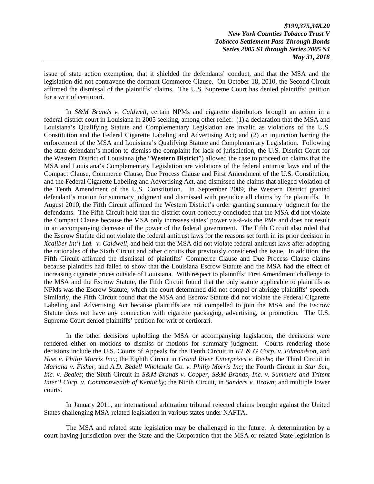*\$199,375,348.20 New York Counties Tobacco Trust V Tobacco Settlement Pass-Through Bonds Series 2005 S1 through Series 2005 S4 May 31, 2018* 

issue of state action exemption, that it shielded the defendants' conduct, and that the MSA and the legislation did not contravene the dormant Commerce Clause. On October 18, 2010, the Second Circuit affirmed the dismissal of the plaintiffs' claims. The U.S. Supreme Court has denied plaintiffs' petition for a writ of certiorari.

In *S&M Brands v. Caldwell*, certain NPMs and cigarette distributors brought an action in a federal district court in Louisiana in 2005 seeking, among other relief: (1) a declaration that the MSA and Louisiana's Qualifying Statute and Complementary Legislation are invalid as violations of the U.S. Constitution and the Federal Cigarette Labeling and Advertising Act; and (2) an injunction barring the enforcement of the MSA and Louisiana's Qualifying Statute and Complementary Legislation. Following the state defendant's motion to dismiss the complaint for lack of jurisdiction, the U.S. District Court for the Western District of Louisiana (the "**Western District**") allowed the case to proceed on claims that the MSA and Louisiana's Complementary Legislation are violations of the federal antitrust laws and of the Compact Clause, Commerce Clause, Due Process Clause and First Amendment of the U.S. Constitution, and the Federal Cigarette Labeling and Advertising Act, and dismissed the claims that alleged violation of the Tenth Amendment of the U.S. Constitution. In September 2009, the Western District granted defendant's motion for summary judgment and dismissed with prejudice all claims by the plaintiffs. In August 2010, the Fifth Circuit affirmed the Western District's order granting summary judgment for the defendants. The Fifth Circuit held that the district court correctly concluded that the MSA did not violate the Compact Clause because the MSA only increases states' power vis-à-vis the PMs and does not result in an accompanying decrease of the power of the federal government. The Fifth Circuit also ruled that the Escrow Statute did not violate the federal antitrust laws for the reasons set forth in its prior decision in *Xcaliber Int'l Ltd. v. Caldwell*, and held that the MSA did not violate federal antitrust laws after adopting the rationales of the Sixth Circuit and other circuits that previously considered the issue. In addition, the Fifth Circuit affirmed the dismissal of plaintiffs' Commerce Clause and Due Process Clause claims because plaintiffs had failed to show that the Louisiana Escrow Statute and the MSA had the effect of increasing cigarette prices outside of Louisiana. With respect to plaintiffs' First Amendment challenge to the MSA and the Escrow Statute, the Fifth Circuit found that the only statute applicable to plaintiffs as NPMs was the Escrow Statute, which the court determined did not compel or abridge plaintiffs' speech. Similarly, the Fifth Circuit found that the MSA and Escrow Statute did not violate the Federal Cigarette Labeling and Advertising Act because plaintiffs are not compelled to join the MSA and the Escrow Statute does not have any connection with cigarette packaging, advertising, or promotion. The U.S. Supreme Court denied plaintiffs' petition for writ of certiorari.

In the other decisions upholding the MSA or accompanying legislation, the decisions were rendered either on motions to dismiss or motions for summary judgment. Courts rendering those decisions include the U.S. Courts of Appeals for the Tenth Circuit in *KT & G Corp. v. Edmondson*, and *Hise v. Philip Morris Inc*.; the Eighth Circuit in *Grand River Enterprises v. Beebe*; the Third Circuit in *Mariana v. Fisher*, and *A.D. Bedell Wholesale Co. v. Philip Morris Inc*; the Fourth Circuit in *Star Sci., Inc. v. Beales*; the Sixth Circuit in *S&M Brands v. Cooper*, *S&M Brands, Inc. v. Summers and Tritent Inter'l Corp. v. Commonwealth of Kentucky*; the Ninth Circuit, in *Sanders v. Brown*; and multiple lower courts.

In January 2011, an international arbitration tribunal rejected claims brought against the United States challenging MSA-related legislation in various states under NAFTA.

The MSA and related state legislation may be challenged in the future. A determination by a court having jurisdiction over the State and the Corporation that the MSA or related State legislation is